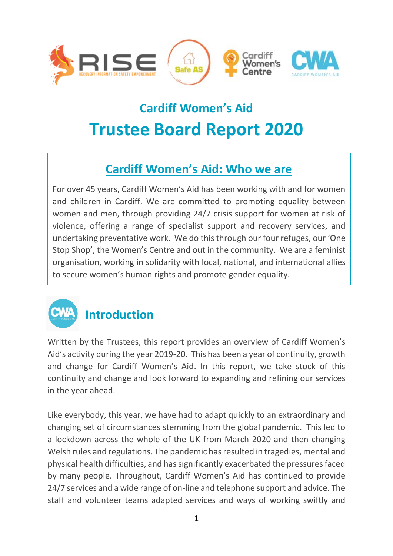

# **Cardiff Women's Aid Trustee Board Report 2020**

#### **Cardiff Women's Aid: Who we are**

For over 45 years, Cardiff Women's Aid has been working with and for women and children in Cardiff. We are committed to promoting equality between women and men, through providing 24/7 crisis support for women at risk of violence, offering a range of specialist support and recovery services, and undertaking preventative work. We do this through our four refuges, our 'One Stop Shop', the Women's Centre and out in the community. We are a feminist organisation, working in solidarity with local, national, and international allies to secure women's human rights and promote gender equality.



## **Introduction**

Written by the Trustees, this report provides an overview of Cardiff Women's Aid's activity during the year 2019-20. This has been a year of continuity, growth and change for Cardiff Women's Aid. In this report, we take stock of this continuity and change and look forward to expanding and refining our services in the year ahead.

Like everybody, this year, we have had to adapt quickly to an extraordinary and changing set of circumstances stemming from the global pandemic. This led to a lockdown across the whole of the UK from March 2020 and then changing Welsh rules and regulations. The pandemic has resulted in tragedies, mental and physical health difficulties, and has significantly exacerbated the pressures faced by many people. Throughout, Cardiff Women's Aid has continued to provide 24/7 services and a wide range of on-line and telephone support and advice. The staff and volunteer teams adapted services and ways of working swiftly and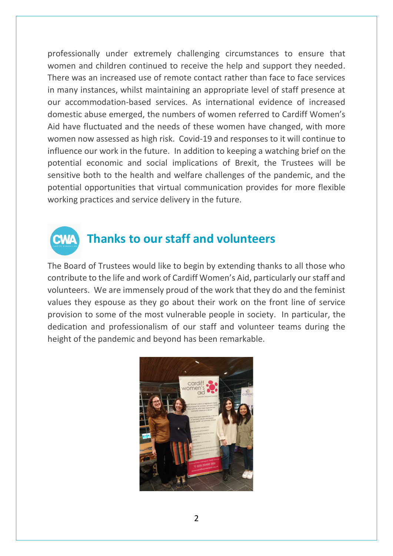professionally under extremely challenging circumstances to ensure that women and children continued to receive the help and support they needed. There was an increased use of remote contact rather than face to face services in many instances, whilst maintaining an appropriate level of staff presence at our accommodation-based services. As international evidence of increased domestic abuse emerged, the numbers of women referred to Cardiff Women's Aid have fluctuated and the needs of these women have changed, with more women now assessed as high risk. Covid-19 and responses to it will continue to influence our work in the future. In addition to keeping a watching brief on the potential economic and social implications of Brexit, the Trustees will be sensitive both to the health and welfare challenges of the pandemic, and the potential opportunities that virtual communication provides for more flexible working practices and service delivery in the future.



#### **Thanks to our staff and volunteers**

The Board of Trustees would like to begin by extending thanks to all those who contribute to the life and work of Cardiff Women's Aid, particularly our staff and volunteers. We are immensely proud of the work that they do and the feminist values they espouse as they go about their work on the front line of service provision to some of the most vulnerable people in society. In particular, the dedication and professionalism of our staff and volunteer teams during the height of the pandemic and beyond has been remarkable.

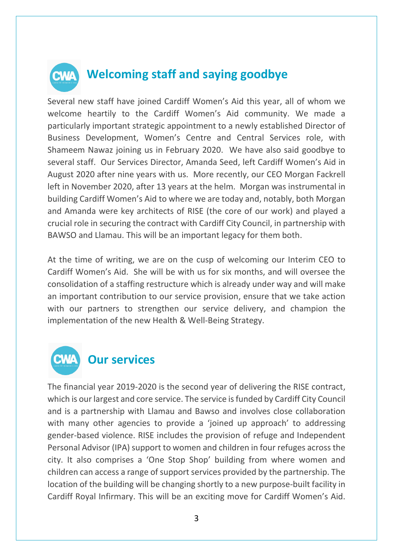

#### **Welcoming staff and saying goodbye**

Several new staff have joined Cardiff Women's Aid this year, all of whom we welcome heartily to the Cardiff Women's Aid community. We made a particularly important strategic appointment to a newly established Director of Business Development, Women's Centre and Central Services role, with Shameem Nawaz joining us in February 2020. We have also said goodbye to several staff. Our Services Director, Amanda Seed, left Cardiff Women's Aid in August 2020 after nine years with us. More recently, our CEO Morgan Fackrell left in November 2020, after 13 years at the helm. Morgan was instrumental in building Cardiff Women's Aid to where we are today and, notably, both Morgan and Amanda were key architects of RISE (the core of our work) and played a crucial role in securing the contract with Cardiff City Council, in partnership with BAWSO and Llamau. This will be an important legacy for them both.

At the time of writing, we are on the cusp of welcoming our Interim CEO to Cardiff Women's Aid. She will be with us for six months, and will oversee the consolidation of a staffing restructure which is already under way and will make an important contribution to our service provision, ensure that we take action with our partners to strengthen our service delivery, and champion the implementation of the new Health & Well-Being Strategy.



#### **Our services**

The financial year 2019-2020 is the second year of delivering the RISE contract, which is our largest and core service. The service is funded by Cardiff City Council and is a partnership with Llamau and Bawso and involves close collaboration with many other agencies to provide a 'joined up approach' to addressing gender-based violence. RISE includes the provision of refuge and Independent Personal Advisor (IPA) support to women and children in four refuges across the city. It also comprises a 'One Stop Shop' building from where women and children can access a range of support services provided by the partnership. The location of the building will be changing shortly to a new purpose-built facility in Cardiff Royal Infirmary. This will be an exciting move for Cardiff Women's Aid.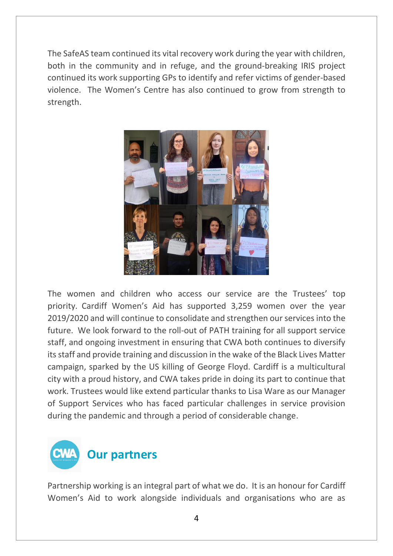The SafeAS team continued its vital recovery work during the year with children, both in the community and in refuge, and the ground-breaking IRIS project continued its work supporting GPs to identify and refer victims of gender-based violence. The Women's Centre has also continued to grow from strength to strength.



The women and children who access our service are the Trustees' top priority. Cardiff Women's Aid has supported 3,259 women over the year 2019/2020 and will continue to consolidate and strengthen our services into the future. We look forward to the roll-out of PATH training for all support service staff, and ongoing investment in ensuring that CWA both continues to diversify its staff and provide training and discussion in the wake of the Black Lives Matter campaign, sparked by the US killing of George Floyd. Cardiff is a multicultural city with a proud history, and CWA takes pride in doing its part to continue that work. Trustees would like extend particular thanks to Lisa Ware as our Manager of Support Services who has faced particular challenges in service provision during the pandemic and through a period of considerable change.

**Our partners**

Partnership working is an integral part of what we do. It is an honour for Cardiff Women's Aid to work alongside individuals and organisations who are as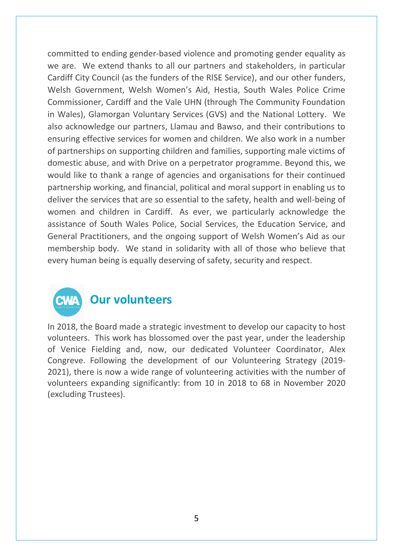committed to ending gender-based violence and promoting gender equality as we are. We extend thanks to all our partners and stakeholders, in particular Cardiff City Council (as the funders of the RISE Service), and our other funders, Welsh Government, Welsh Women's Aid, Hestia, South Wales Police Crime Commissioner, Cardiff and the Vale UHN (through The Community Foundation in Wales), Glamorgan Voluntary Services (GVS) and the National Lottery. We also acknowledge our partners, Llamau and Bawso, and their contributions to ensuring effective services for women and children. We also work in a number of partnerships on supporting children and families, supporting male victims of domestic abuse, and with Drive on a perpetrator programme. Beyond this, we would like to thank a range of agencies and organisations for their continued partnership working, and financial, political and moral support in enabling us to deliver the services that are so essential to the safety, health and well-being of women and children in Cardiff. As ever, we particularly acknowledge the assistance of South Wales Police, Social Services, the Education Service, and General Practitioners, and the ongoing support of Welsh Women's Aid as our membership body. We stand in solidarity with all of those who believe that every human being is equally deserving of safety, security and respect.



#### **Our volunteers**

In 2018, the Board made a strategic investment to develop our capacity to host volunteers. This work has blossomed over the past year, under the leadership of Venice Fielding and, now, our dedicated Volunteer Coordinator, Alex Congreve. Following the development of our Volunteering Strategy (2019- 2021), there is now a wide range of volunteering activities with the number of volunteers expanding significantly: from 10 in 2018 to 68 in November 2020 (excluding Trustees).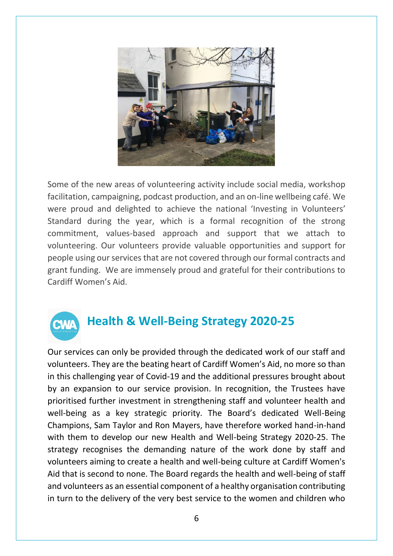

Some of the new areas of volunteering activity include social media, workshop facilitation, campaigning, podcast production, and an on-line wellbeing café. We were proud and delighted to achieve the national 'Investing in Volunteers' Standard during the year, which is a formal recognition of the strong commitment, values-based approach and support that we attach to volunteering. Our volunteers provide valuable opportunities and support for people using our services that are not covered through our formal contracts and grant funding. We are immensely proud and grateful for their contributions to Cardiff Women's Aid.



## **Health & Well-Being Strategy 2020-25**

Our services can only be provided through the dedicated work of our staff and volunteers. They are the beating heart of Cardiff Women's Aid, no more so than in this challenging year of Covid-19 and the additional pressures brought about by an expansion to our service provision. In recognition, the Trustees have prioritised further investment in strengthening staff and volunteer health and well-being as a key strategic priority. The Board's dedicated Well-Being Champions, Sam Taylor and Ron Mayers, have therefore worked hand-in-hand with them to develop our new Health and Well-being Strategy 2020-25. The strategy recognises the demanding nature of the work done by staff and volunteers aiming to create a health and well-being culture at Cardiff Women's Aid that is second to none. The Board regards the health and well-being of staff and volunteers as an essential component of a healthy organisation contributing in turn to the delivery of the very best service to the women and children who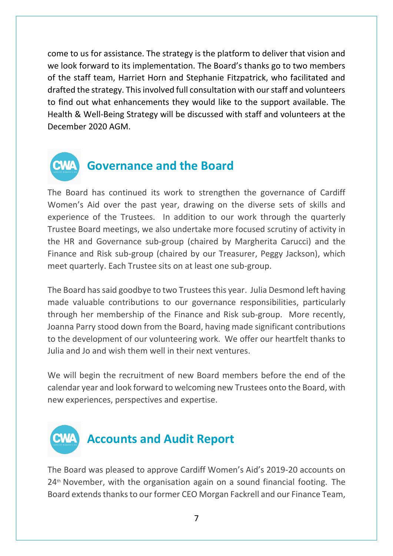come to us for assistance. The strategy is the platform to deliver that vision and we look forward to its implementation. The Board's thanks go to two members of the staff team, Harriet Horn and Stephanie Fitzpatrick, who facilitated and drafted the strategy. This involved full consultation with our staff and volunteers to find out what enhancements they would like to the support available. The Health & Well-Being Strategy will be discussed with staff and volunteers at the December 2020 AGM.



#### **Governance and the Board**

The Board has continued its work to strengthen the governance of Cardiff Women's Aid over the past year, drawing on the diverse sets of skills and experience of the Trustees. In addition to our work through the quarterly Trustee Board meetings, we also undertake more focused scrutiny of activity in the HR and Governance sub-group (chaired by Margherita Carucci) and the Finance and Risk sub-group (chaired by our Treasurer, Peggy Jackson), which meet quarterly. Each Trustee sits on at least one sub-group.

The Board has said goodbye to two Trustees this year. Julia Desmond left having made valuable contributions to our governance responsibilities, particularly through her membership of the Finance and Risk sub-group. More recently, Joanna Parry stood down from the Board, having made significant contributions to the development of our volunteering work. We offer our heartfelt thanks to Julia and Jo and wish them well in their next ventures.

We will begin the recruitment of new Board members before the end of the calendar year and look forward to welcoming new Trustees onto the Board, with new experiences, perspectives and expertise.



The Board was pleased to approve Cardiff Women's Aid's 2019-20 accounts on  $24<sup>th</sup>$  November, with the organisation again on a sound financial footing. The Board extends thanks to our former CEO Morgan Fackrell and our Finance Team,